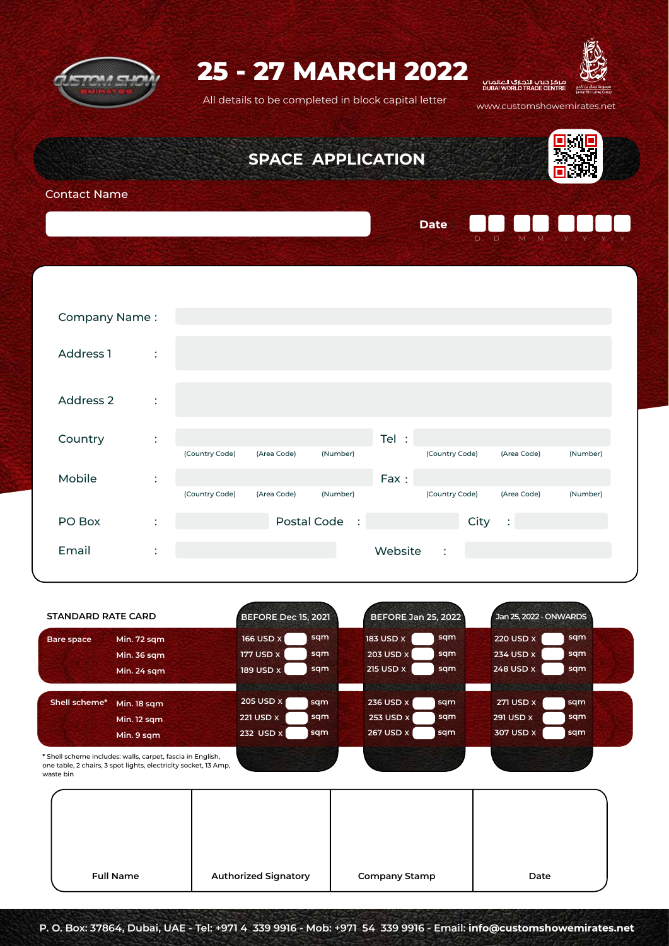

# **25 - 27 MARCH 2022**

All details to be completed in block capital letter www.customshowemirates.net



D D M M Y Y Y Y

 $\mathcal{L}$ 

**SPACE APPLICATION**

**Date :**



Contact Name

| Company Name: |                           |                |             |          |         |                |                |          |
|---------------|---------------------------|----------------|-------------|----------|---------|----------------|----------------|----------|
|               |                           |                |             |          |         |                |                |          |
| Address 1     | $\sim$ 1.                 |                |             |          |         |                |                |          |
|               |                           |                |             |          |         |                |                |          |
|               |                           |                |             |          |         |                |                |          |
| Address 2     | $\ddot{\cdot}$            |                |             |          |         |                |                |          |
|               |                           |                |             |          |         |                |                |          |
| Country       | ÷                         |                |             |          | Tel :   |                |                |          |
|               |                           | (Country Code) | (Area Code) | (Number) |         | (Country Code) | (Area Code)    | (Number) |
|               |                           |                |             |          |         |                |                |          |
| Mobile        | $\ddot{\cdot}$            |                |             |          | Fax:    |                |                |          |
|               |                           | (Country Code) | (Area Code) | (Number) |         | (Country Code) | (Area Code)    | (Number) |
| PO Box        | ٠<br>$\ddot{\phantom{a}}$ |                | Postal Code | $\sim$ 1 |         | City           | $\ddot{\cdot}$ |          |
|               |                           |                |             |          |         |                |                |          |
| Email         | ÷                         |                |             |          | Website | $\ddot{\cdot}$ |                |          |
|               |                           |                |             |          |         |                |                |          |

| <b>STANDARD RATE CARD</b> |                                                                                                                               | <b>BEFORE Dec 15, 2021</b> |     |                  | <b>BEFORE Jan 25, 2022</b> |                  | Jan 25, 2022 - ONWARDS |  |
|---------------------------|-------------------------------------------------------------------------------------------------------------------------------|----------------------------|-----|------------------|----------------------------|------------------|------------------------|--|
| Bare space                | Min. 72 sqm                                                                                                                   | <b>166 USD X</b>           | sqm | <b>183 USD X</b> | sqm                        | <b>220 USD X</b> | sqm                    |  |
|                           | <b>Min. 36 sqm</b>                                                                                                            | <b>177 USD X</b>           | sqm | 203 USD X        | sqm                        | 234 USD X        | sqm                    |  |
|                           | Min. 24 sqm                                                                                                                   | 189 USD X                  | sqm | 215 USD X        | sqm                        | 248 USD X        | sqm                    |  |
|                           |                                                                                                                               |                            |     |                  |                            |                  |                        |  |
| Shell scheme*             | Min. 18 sqm                                                                                                                   | 205 USD X                  | sqm | 236 USD X        | sqm                        | <b>271 USD X</b> | sqm                    |  |
|                           | Min. 12 sqm                                                                                                                   | <b>221 USD X</b>           | sqm | 253 USD X        | sqm                        | 291 USD X        | sqm                    |  |
|                           | Min. 9 sqm                                                                                                                    | 232 USD X                  | sqm | 267 USD X        | sqm                        | 307 USD X        | sqm                    |  |
|                           | * Shell scheme includes: walls, carpet, fascia in English,<br>one table, 2 chairs, 3 spot lights, electricity socket, 13 Amp, |                            |     |                  |                            |                  |                        |  |

waste bin

| <b>Full Name</b> | <b>Authorized Signatory</b> | <b>Company Stamp</b> | Date |
|------------------|-----------------------------|----------------------|------|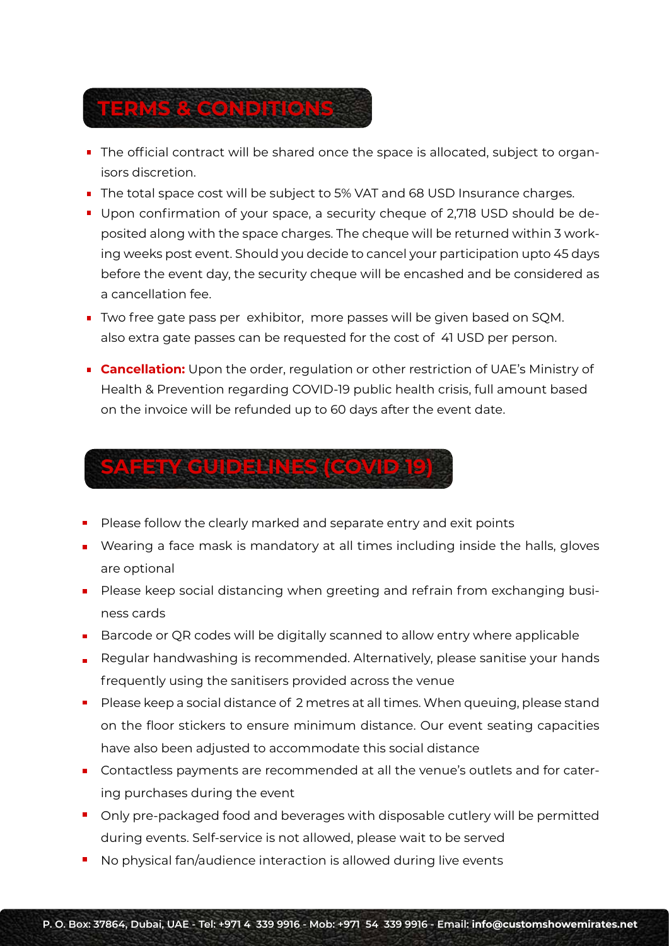

- The official contract will be shared once the space is allocated, subject to organisors discretion.
- The total space cost will be subject to 5% VAT and 68 USD Insurance charges.
- **Upon confirmation of your space, a security cheque of 2,718 USD should be de**posited along with the space charges. The cheque will be returned within 3 working weeks post event. Should you decide to cancel your participation upto 45 days before the event day, the security cheque will be encashed and be considered as a cancellation fee.
- Two free gate pass per exhibitor, more passes will be given based on SOM. also extra gate passes can be requested for the cost of 41 USD per person.
- **Cancellation:** Upon the order, regulation or other restriction of UAE's Ministry of Health & Prevention regarding COVID-19 public health crisis, full amount based on the invoice will be refunded up to 60 days after the event date.

# **SAFETY GUIDELINES (COVID 19)**

- Please follow the clearly marked and separate entry and exit points
- **•** Wearing a face mask is mandatory at all times including inside the halls, gloves are optional
- **Please keep social distancing when greeting and refrain from exchanging busi**ness cards
- **Barcode or QR codes will be digitally scanned to allow entry where applicable**
- Regular handwashing is recommended. Alternatively, please sanitise your hands frequently using the sanitisers provided across the venue
- Please keep a social distance of 2 metres at all times. When queuing, please stand on the floor stickers to ensure minimum distance. Our event seating capacities have also been adjusted to accommodate this social distance
- Contactless payments are recommended at all the venue's outlets and for catering purchases during the event
- **Dianuber** Only pre-packaged food and beverages with disposable cutlery will be permitted during events. Self-service is not allowed, please wait to be served
- No physical fan/audience interaction is allowed during live events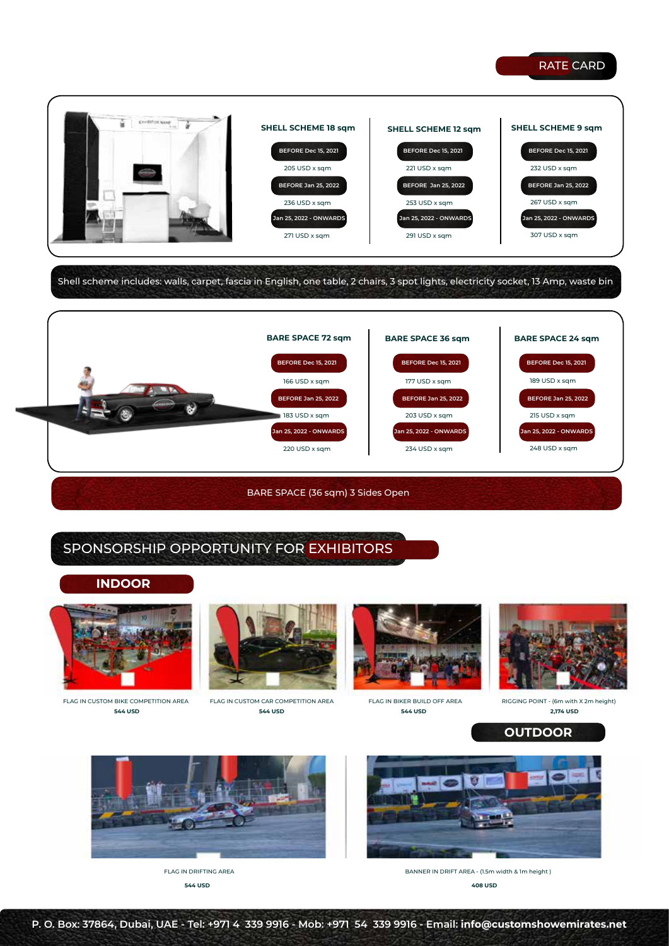### RATE CARD



Shell scheme includes: walls, carpet, fascia in English, one table, 2 chairs, 3 spot lights, electricity socket, 13 Amp, waste bin



BARE SPACE (36 sqm) 3 Sides Open

# SPONSORSHIP OPPORTUNITY FOR EXHIBITORS

#### **INDOOR**



FLAG IN CUSTOM BIKE COMPETITION AREA **544 USD**



**544 USD** FLAG IN CUSTOM CAR COMPETITION AREA





**544 USD 2,174 USD** FLAG IN BIKER BUILD OFF AREA RIGGING POINT - (6m with X 2m height)

**OUTDOOR**



**544 USD**



**408 USD** BANNER IN DRIFT AREA - (1.5m width & 1m height )